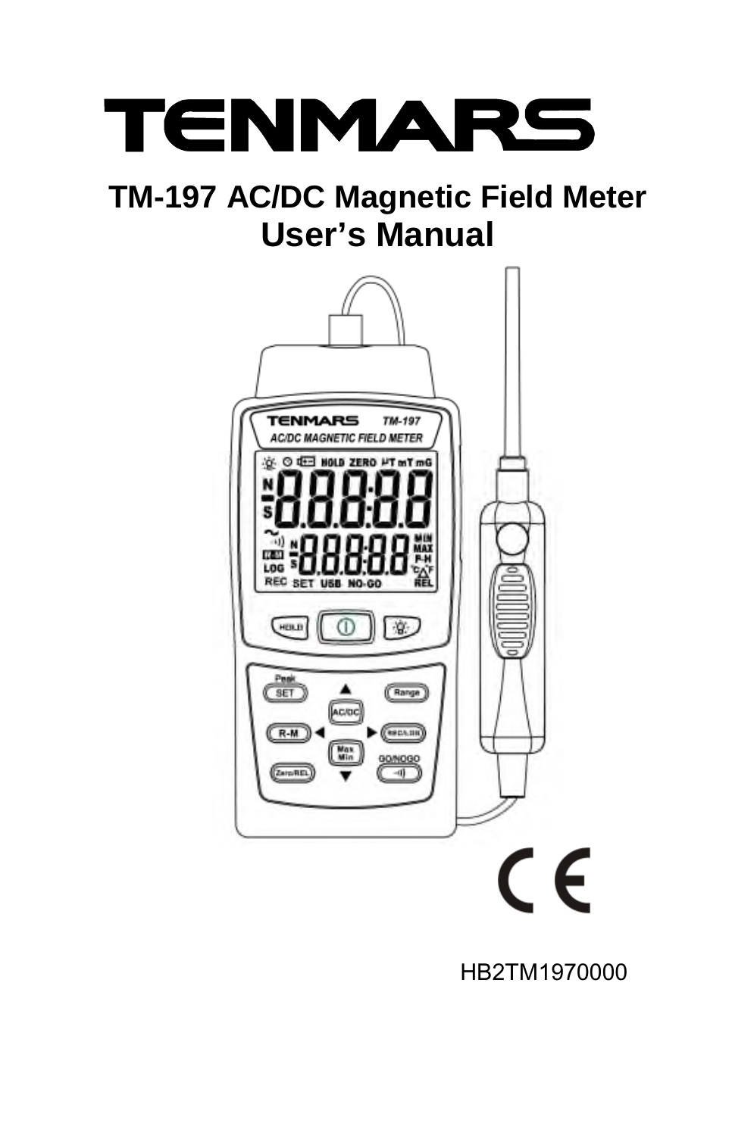

# **TM-197 AC/DC Magnetic Field Meter User's Manual**



HB2TM1970000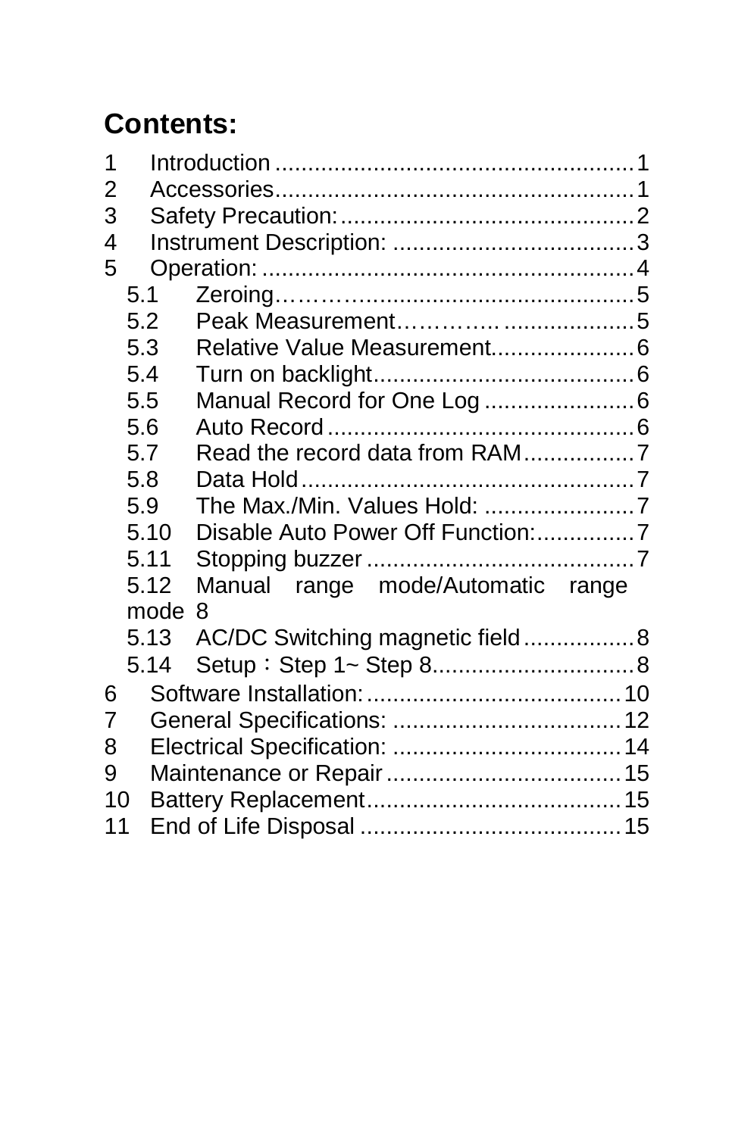# **Contents:**

| 1<br>2         |      |                                   |  |  |
|----------------|------|-----------------------------------|--|--|
| 3              |      |                                   |  |  |
| 4              |      |                                   |  |  |
| 5              |      |                                   |  |  |
|                | 5.1  |                                   |  |  |
|                | 5.2  |                                   |  |  |
|                | 5.3  |                                   |  |  |
|                | 5.4  |                                   |  |  |
|                | 5.5  | Manual Record for One Log 6       |  |  |
|                | 5.6  |                                   |  |  |
|                | 5.7  | Read the record data from RAM7    |  |  |
|                | 5.8  |                                   |  |  |
|                | 5.9  | The Max./Min. Values Hold: 7      |  |  |
|                | 5.10 |                                   |  |  |
|                | 5.11 |                                   |  |  |
|                | 5.12 | Manual range mode/Automatic range |  |  |
|                | mode | 8                                 |  |  |
|                | 5.13 | AC/DC Switching magnetic field8   |  |  |
|                | 5.14 |                                   |  |  |
| 6              |      |                                   |  |  |
| $\overline{7}$ |      |                                   |  |  |
| 8              |      |                                   |  |  |
| 9              |      |                                   |  |  |
|                |      |                                   |  |  |
| 10<br>11       |      |                                   |  |  |
|                |      |                                   |  |  |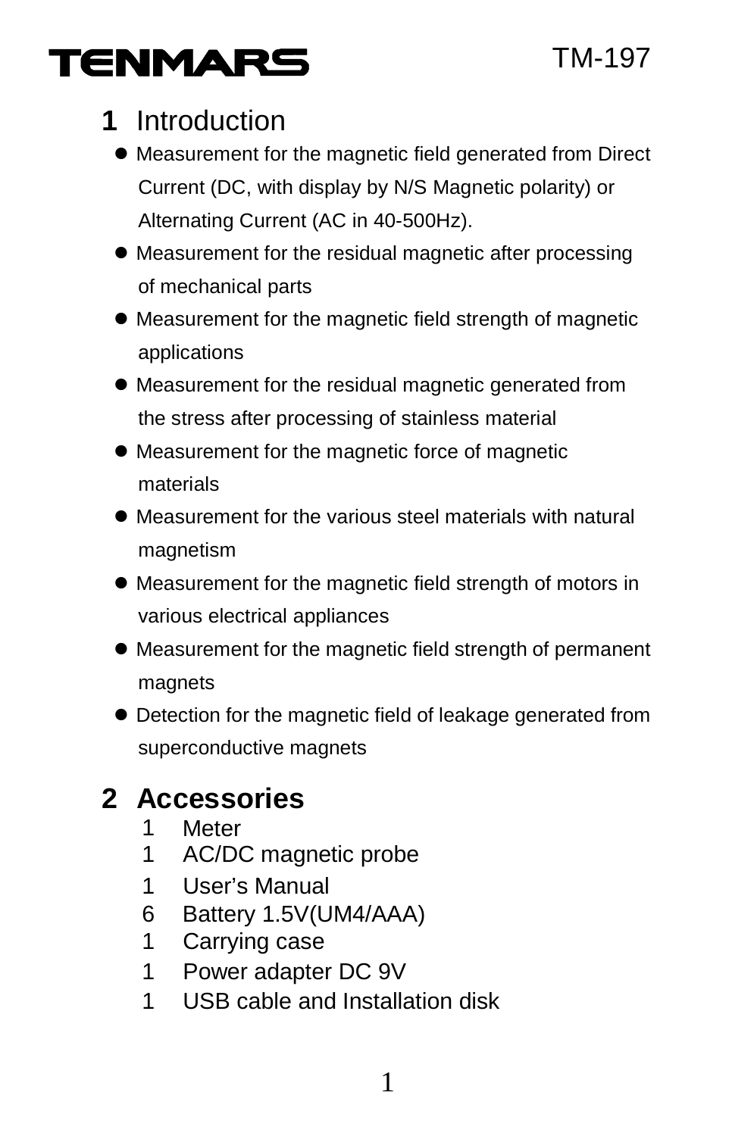# TENMARS

# **1** Introduction

- Measurement for the magnetic field generated from Direct Current (DC, with display by N/S Magnetic polarity) or Alternating Current (AC in 40-500Hz).
- Measurement for the residual magnetic after processing of mechanical parts
- Measurement for the magnetic field strength of magnetic applications
- Measurement for the residual magnetic generated from the stress after processing of stainless material
- Measurement for the magnetic force of magnetic materials
- Measurement for the various steel materials with natural magnetism
- Measurement for the magnetic field strength of motors in various electrical appliances
- Measurement for the magnetic field strength of permanent magnets
- Detection for the magnetic field of leakage generated from superconductive magnets

# **2 Accessories**

- 1 Meter
- 1 AC/DC magnetic probe
- 1 User's Manual
- 6 Battery 1.5V(UM4/AAA)
- 1 Carrying case
- 1 Power adapter DC 9V
- 1 USB cable and Installation disk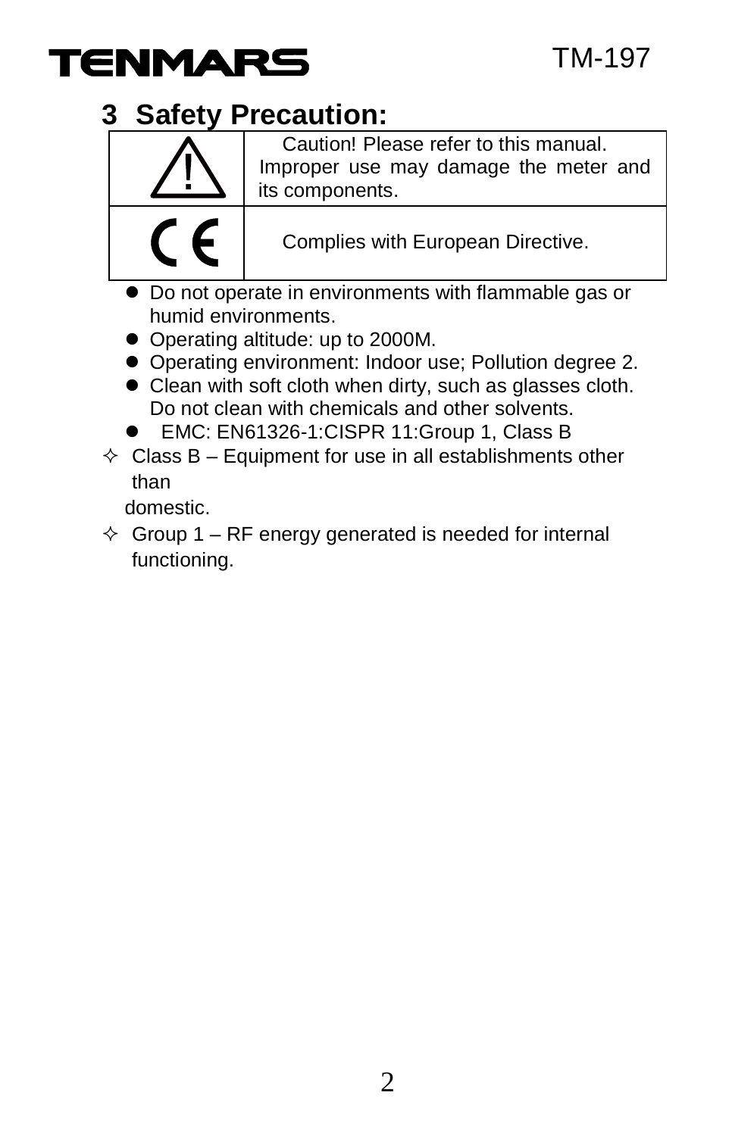

## **3 Safety Precaution:**



Caution! Please refer to this manual. Improper use may damage the meter and its components.

Complies with European Directive.

- Do not operate in environments with flammable gas or humid environments.
- Operating altitude: up to 2000M.
- Operating environment: Indoor use; Pollution degree 2.
- Clean with soft cloth when dirty, such as glasses cloth. Do not clean with chemicals and other solvents.
- EMC: EN61326-1:CISPR 11:Group 1, Class B
- $\Diamond$  Class B Equipment for use in all establishments other than

domestic.

 $\div$  Group 1 – RF energy generated is needed for internal functioning.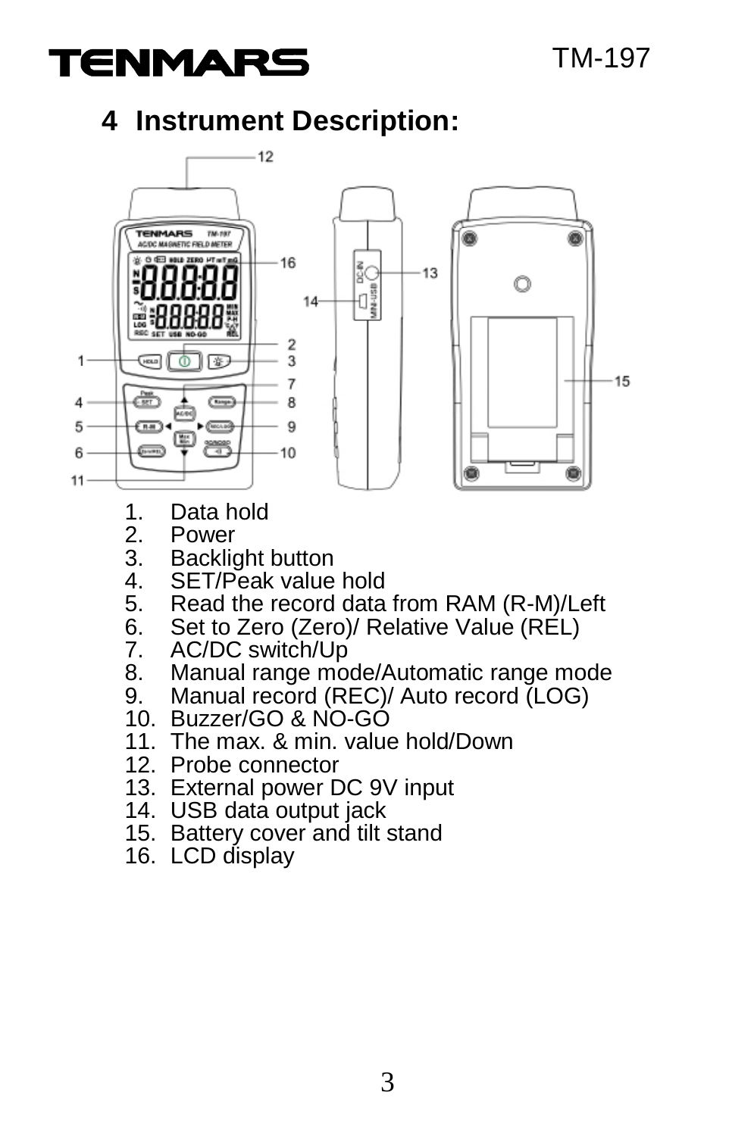

# **4 Instrument Description:**



- 1. Data hold<br>2. Power
- 2. Power<br>3. Backlio
- 3. Backlight button<br>4. SET/Peak value
- 4. SET/Peak value hold<br>5. Read the record data
- 5. Read the record data from RAM (R-M)/Left<br>6. Set to Zero (Zero)/ Relative Value (RFI)
- 6. Set to Zero (Zero)/ Relative Valuè (RÉL)<br>7. AC/DC switch/Up
- 7. AC/DC switch/Up<br>8. Manual range mo
- 8. Manual range mode/Automatic range mode<br>9. Manual record (REC)/ Auto record (LOG)
- Manual record (REC)/ Auto record (LOG)
- 10. Buzzer/GO & NO-GO
- 11. The max. & min. value hold/Down
- 12. Probe connector
- 13. External power DC 9V input
- 14. USB data output jack
- 15. Battery cover and tilt stand
- 16. LCD display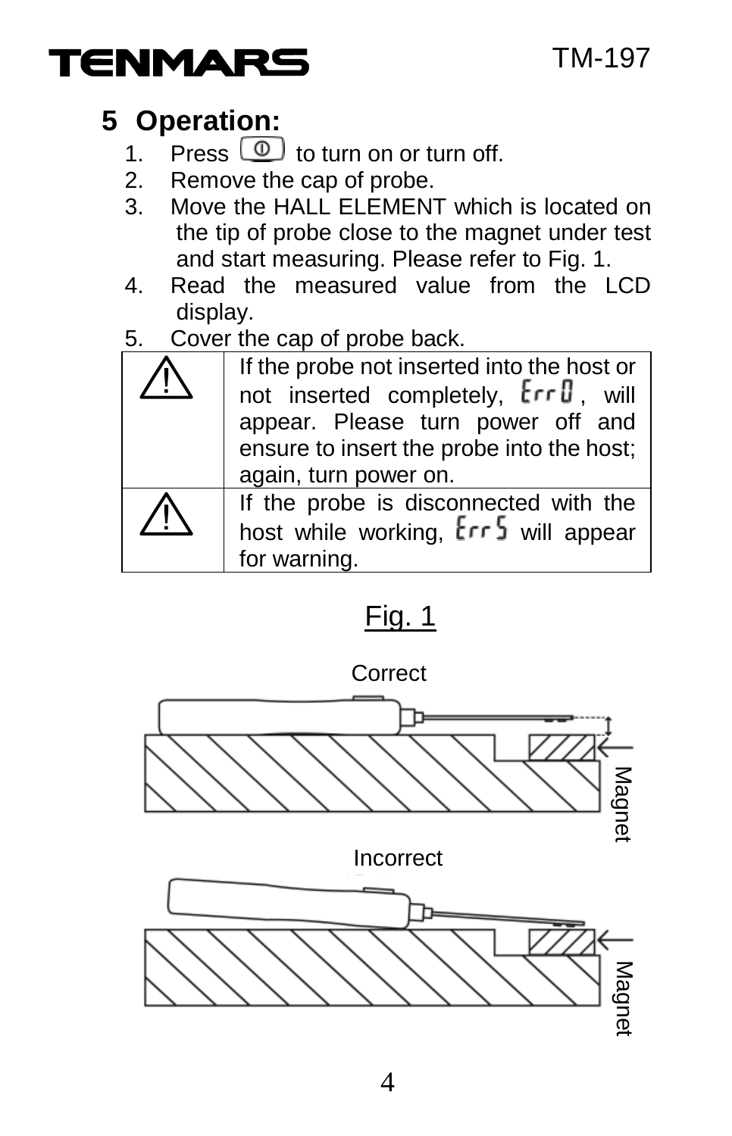

# **5 Operation:**

- 1. Press  $\circled{1}$  to turn on or turn off.<br>2. Remove the cap of probe.
- 2. Remove the cap of probe.<br>3. Move the HALL ELEMENT
- Move the HALL ELEMENT which is located on the tip of probe close to the magnet under test and start measuring. Please refer to Fig. 1.
- 4. Read the measured value from the LCD display.
- 5. Cover the cap of probe back.

| If the probe not inserted into the host or<br>not inserted completely, Err <sup>0</sup> , will<br>appear. Please turn power off and<br>ensure to insert the probe into the host;<br>again, turn power on. |  |
|-----------------------------------------------------------------------------------------------------------------------------------------------------------------------------------------------------------|--|
| If the probe is disconnected with the<br>host while working, Err 5 will appear<br>for warning.                                                                                                            |  |

# Fig. 1

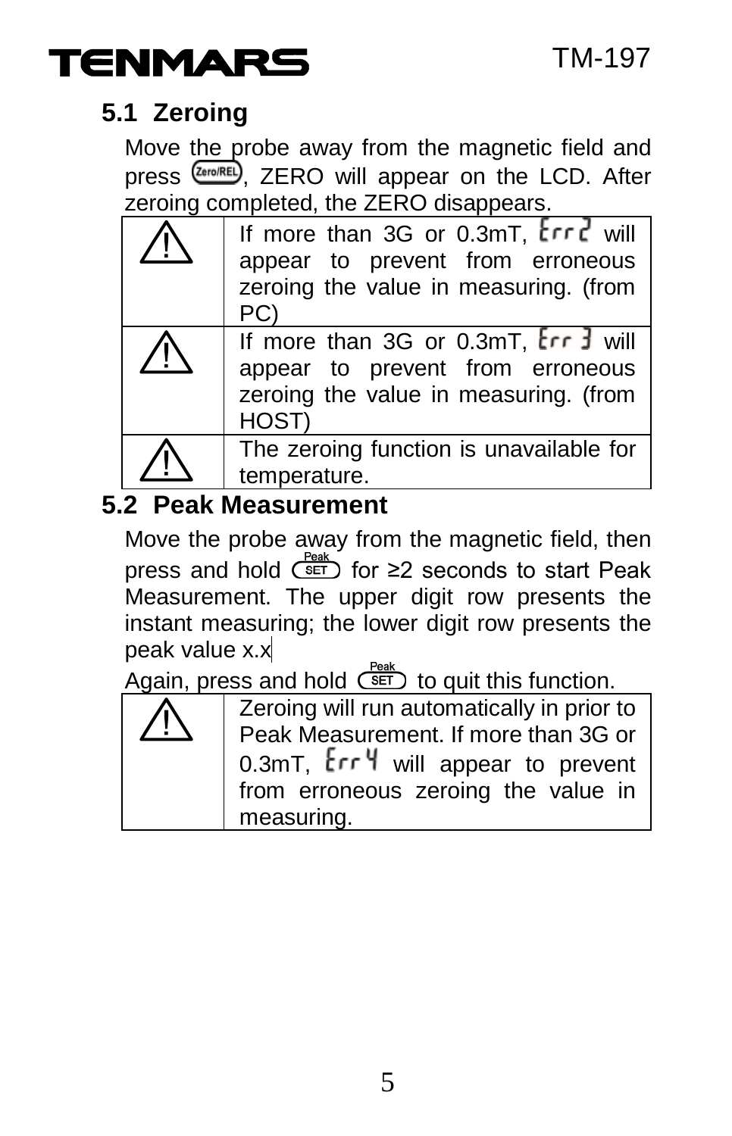

#### **5.1 Zeroing**

Move the probe away from the magnetic field and press (Zero/REL). ZERO will appear on the LCD. After zeroing completed, the ZERO disappears.

| If more than 3G or 0.3mT, Erre will<br>appear to prevent from erroneous<br>zeroing the value in measuring. (from<br>PC)    |  |
|----------------------------------------------------------------------------------------------------------------------------|--|
| If more than 3G or 0.3mT, Err 3 will<br>appear to prevent from erroneous<br>zeroing the value in measuring. (from<br>HOST) |  |
| The zeroing function is unavailable for<br>temperature.                                                                    |  |

#### **5.2 Peak Measurement**

Move the probe away from the magnetic field, then press and hold  $G$ <sup>reak</sup> for ≥2 seconds to start Peak Measurement. The upper digit row presents the instant measuring; the lower digit row presents the peak value x.x

Again, press and hold  $\overline{\text{SET}}$  to quit this function.

| I |  |  |
|---|--|--|
|   |  |  |
|   |  |  |

Zeroing will run automatically in prior to Peak Measurement. If more than 3G or 0.3mT, Err 4 will appear to prevent from erroneous zeroing the value in measuring.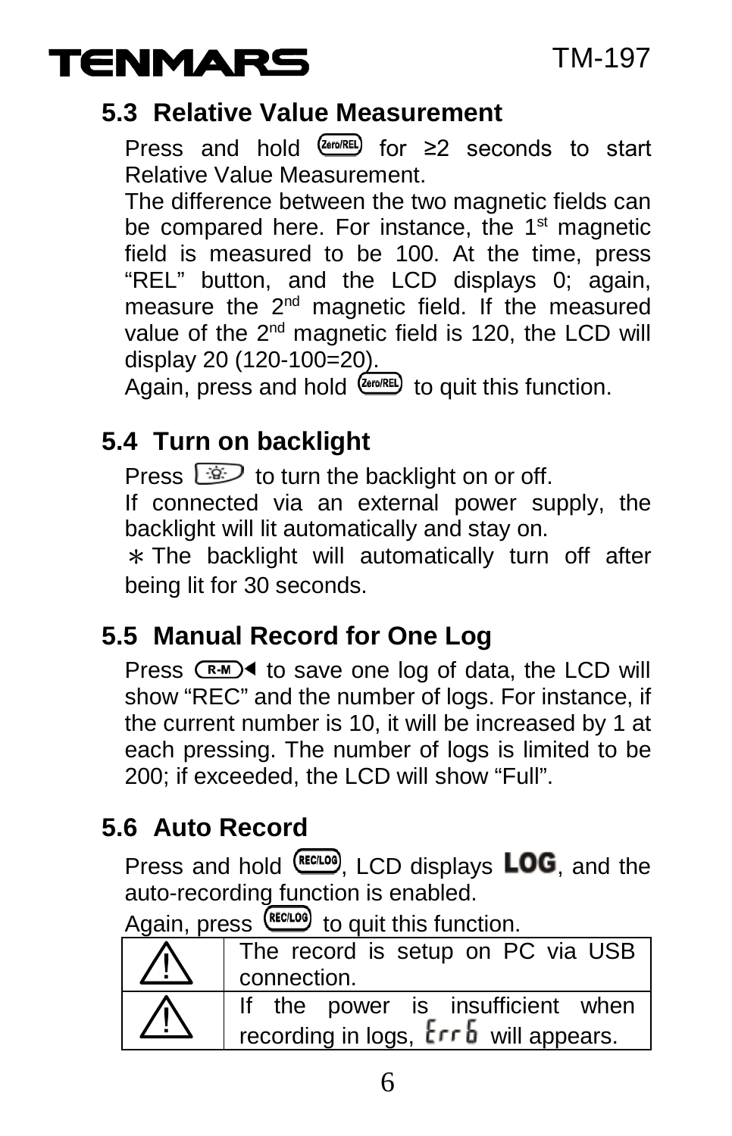

#### **5.3 Relative Value Measurement**

Press and hold  $(2e^{i\pi/RL})$  for ≥2 seconds to start Relative Value Measurement.

The difference between the two magnetic fields can be compared here. For instance, the 1<sup>st</sup> magnetic field is measured to be 100. At the time, press "REL" button, and the LCD displays 0; again, measure the 2nd magnetic field. If the measured value of the 2<sup>nd</sup> magnetic field is 120, the LCD will display 20 (120-100=20).

Again, press and hold  $\overline{\mathcal{L}_{\text{strm}}^{(RE)}}$  to quit this function.

#### **5.4 Turn on backlight**

Press  $\circled{3}$  to turn the backlight on or off.

If connected via an external power supply, the backlight will lit automatically and stay on.

 $*$  The backlight will automatically turn off after being lit for 30 seconds.

#### **5.5 Manual Record for One Log**

Press  $(R-M)$  to save one log of data, the LCD will show "REC" and the number of logs. For instance, if the current number is 10, it will be increased by 1 at each pressing. The number of logs is limited to be 200; if exceeded, the LCD will show "Full".

# **5.6 Auto Record**

Press and hold  $\frac{(RECL)00}{S}$ , LCD displays **LOG**, and the auto-recording function is enabled.

Again, press  $F_{\text{RECLOO}}$  to quit this function.

| 7 L. | The record is setup on PC via USB<br>connection.                                              |  |
|------|-----------------------------------------------------------------------------------------------|--|
| 7 [  | If the power is insufficient when<br>recording in logs, $E \rightharpoondown b$ will appears. |  |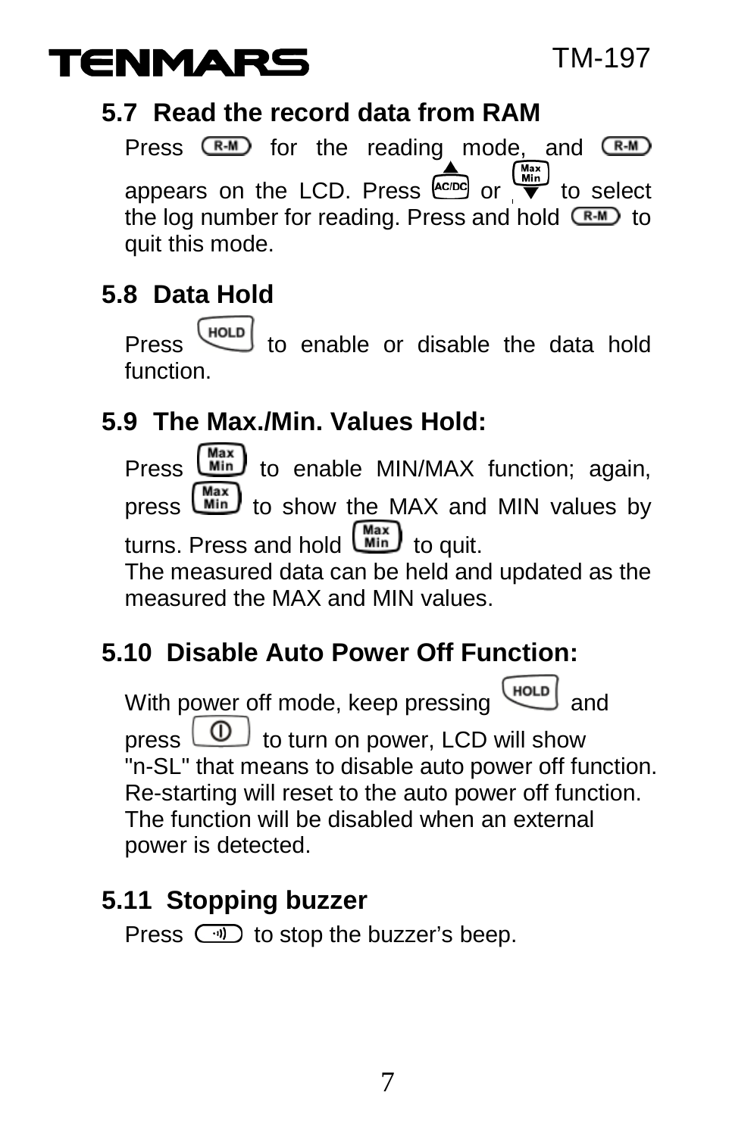

#### **5.7 Read the record data from RAM**

Press  $(R-M)$  for the reading mode, and  $(R-M)$ appears on the LCD. Press  $\overbrace{\text{even}}^{\text{(max)}}$  or  $\overbrace{\text{even}}^{\text{(max)}}$  to select the log number for reading. Press and hold  $\overline{R.M}$  to quit this mode.

# **5.8 Data Hold**

Press  $\begin{bmatrix} HOLD \\ HOLD \end{bmatrix}$  to enable or disable the data hold function.

# **5.9 The Max./Min. Values Hold:**

Press  $\frac{\text{Max}}{\text{Min}}$  to enable MIN/MAX function; again,<br>press  $\frac{\text{Max}}{\text{Min}}$  to show the MAX and MIN values by to show the MAX and MIN values by turns. Press and hold  $\binom{\text{Max}}{\text{Min}}$  to quit. The measured data can be held and updated as the

measured the MAX and MIN values.

# **5.10 Disable Auto Power Off Function:**

With power off mode, keep pressing (HOLD) press  $\Box$  to turn on power, LCD will show "n-SL" that means to disable auto power off function. Re-starting will reset to the auto power off function. The function will be disabled when an external power is detected.

#### **5.11 Stopping buzzer**

Press  $\Box$  to stop the buzzer's beep.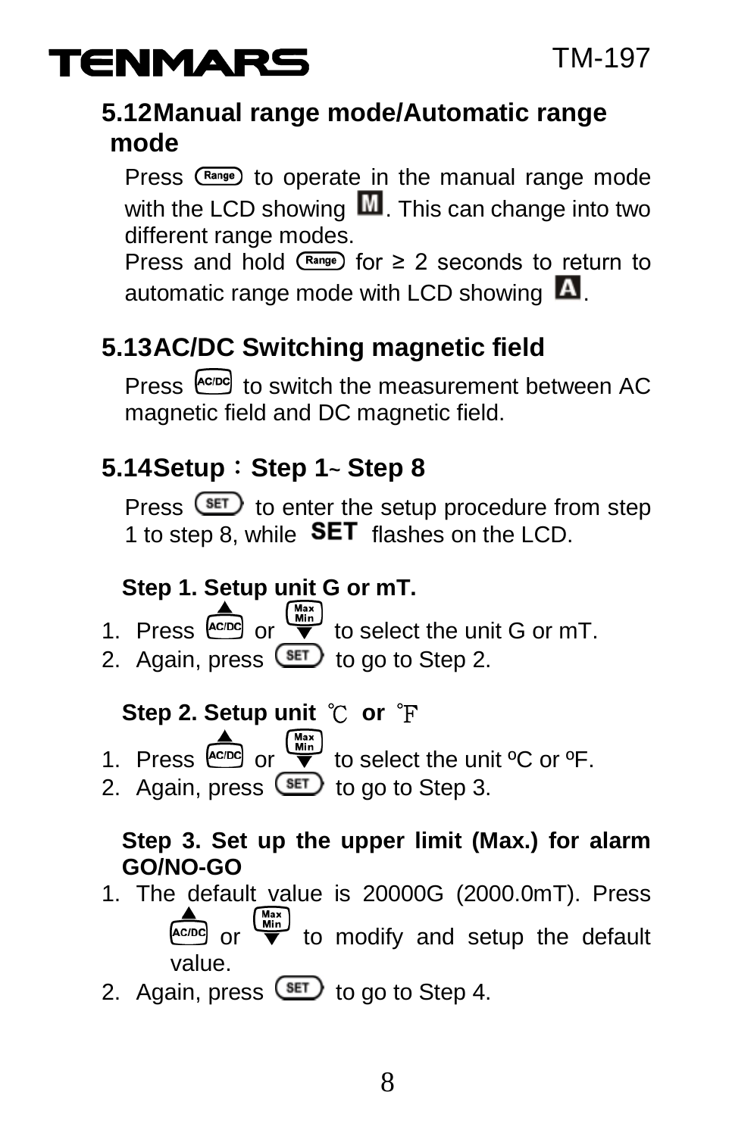

#### **5.12Manual range mode/Automatic range mode**

Press (Range) to operate in the manual range mode with the LCD showing  $\mathbf{M}$ . This can change into two different range modes.

Press and hold  $\binom{Range}{1}$  for  $\geq 2$  seconds to return to automatic range mode with LCD showing  $\blacksquare$ .

# **5.13AC/DC Switching magnetic field**

Press  $\leftarrow{f^{c,p}c}$  to switch the measurement between AC magnetic field and DC magnetic field.

# **5.14Setup**:**Step 1~ Step 8**

Press  $F$  to enter the setup procedure from step 1 to step 8, while  **flashes on the LCD.** 

#### **Step 1. Setup unit G or mT.**

1. Press  $\overline{A^{(max)}_{\text{cusp}}}$  or  $\overline{A^{(max)}_{\text{c}}}$  to select the unit G or mT. 2. Again, press  $F$  to go to Step 2.

- **Step 2. Setup unit ℃ or F**<br>1. Press  $\overset{\text{A}}{\underset{\text{A} \in \text{DPO}}{\bigtriangleup}}$  or  $\overset{\overset{\text{Wax}}{\bigcirc}}{\underset{\text{V}}{\bigtriangleup}}$  to select to select the unit  $^{\circ}$ C or  $^{\circ}$ F.
- 2. Again, press  $\overline{\text{I}}$  to go to Step 3.

#### **Step 3. Set up the upper limit (Max.) for alarm GO/NO-GO**

- 1. The default value is 20000G (2000.0mT). Press or  $\begin{pmatrix} \frac{Mn\pi}{Nn} \\ \hline \end{pmatrix}$  to modify and setup the default value.
- 2. Again, press  $\overline{\text{SET}}$  to go to Step 4.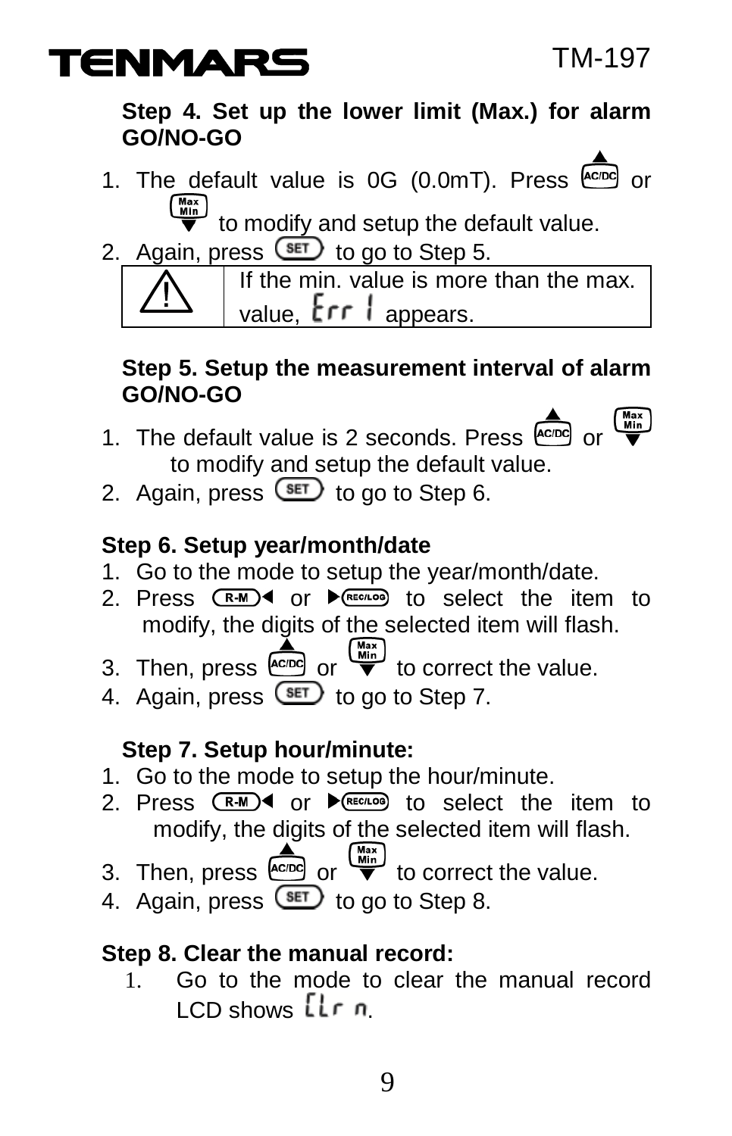

#### **Step 4. Set up the lower limit (Max.) for alarm GO/NO-GO**

1. The default value is 0G (0.0mT). Press come or

to modify and setup the default value.

2. Again, press  $F$  to go to Step 5.



If the min. value is more than the max. value,  $\mathsf{Err}$  appears.

#### **Step 5. Setup the measurement interval of alarm GO/NO-GO**

- 1. The default value is 2 seconds. Press  $\overline{f_{\text{eno}}}$  or  $\overline{f_{\text{eno}}}$ to modify and setup the default value.
- 2. Again, press  $\circled{f}$  to go to Step 6.

#### **Step 6. Setup year/month/date**

- 1. Go to the mode to setup the year/month/date.
- 2. Press  $(R-M)$  or  $R_{REC,LO}$  to select the item to modify, the digits of the selected item will flash.
- 3. Then, press  $\overset{\bullet}{\phantom{a}}$  or  $\overset{\overset{\bullet}{\phantom{a}}}{\phantom{a}}$  to correct the value.
- 4. Again, press  $F$  to go to Step 7.

#### **Step 7. Setup hour/minute:**

- 1. Go to the mode to setup the hour/minute.
- 2. Press  $(RM)$  or  $\blacktriangleright$   $(RE)$  to select the item to modify, the digits of the selected item will flash.
- 3. Then, press  $\overline{\mathbb{R}}$  or  $\overline{\mathbb{R}}$  to correct the value.
- 4. Again, press  $\overline{\text{Set}}$  to go to Step 8.

#### **Step 8. Clear the manual record:**

1. Go to the mode to clear the manual record  $LO$  shows  $L$ r n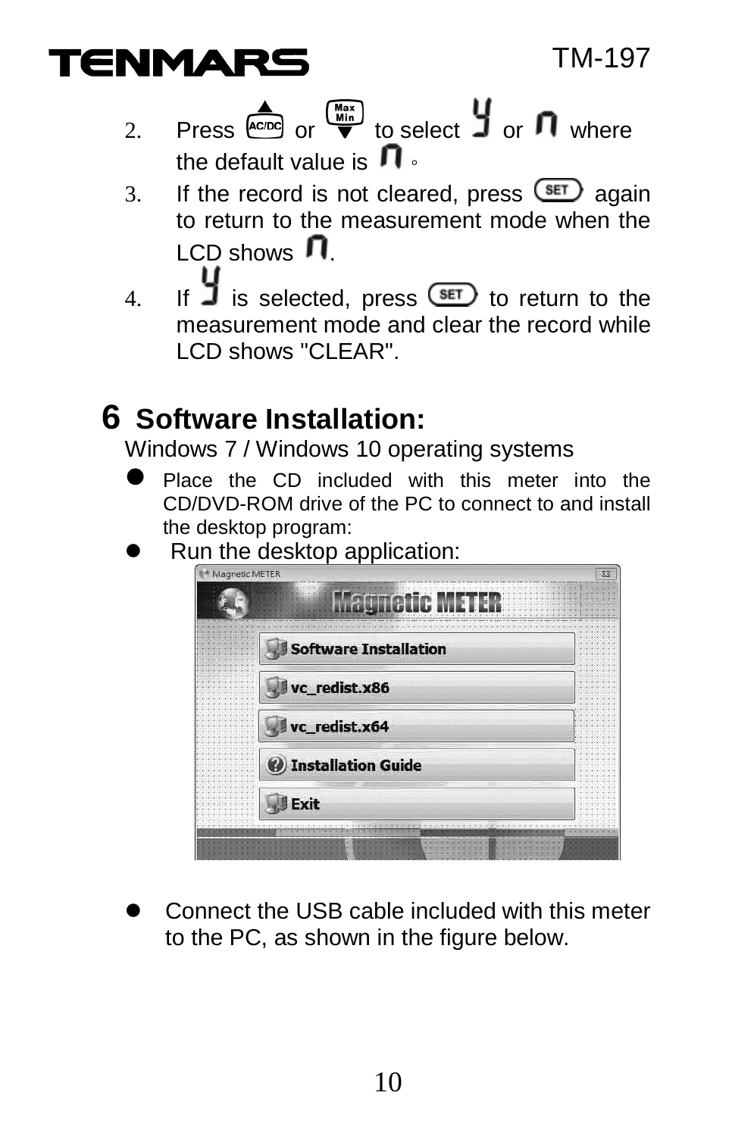

- 2. Press  $\overbrace{k_{\text{cond}}}^{\bullet}$  or  $\overline{w}$  to select  $\overline{y}$  or  $\overline{\mathbf{n}}$  where the default value is  $\mathbf \Pi$ .
- 3. If the record is not cleared, press  $\frac{\text{SET}}{\text{S}}$  again to return to the measurement mode when the  $LCD$  shows  $\mathbf{\Pi}$
- 4. If  $\overline{\mathbf{J}}$  is selected, press  $\overline{\text{Set}}$  to return to the measurement mode and clear the record while LCD shows "CLEAR".

# **6 Software Installation:**

Windows 7 / Windows 10 operating systems

- Place the CD included with this meter into the CD/DVD-ROM drive of the PC to connect to and install the desktop program:
- Run the desktop application:

| Magnetic METER              |  |
|-----------------------------|--|
| <b>agnetic METER</b>        |  |
|                             |  |
| Software Installation       |  |
|                             |  |
| vc_redist.x86               |  |
|                             |  |
| vc_redist.x64               |  |
|                             |  |
| <b>W</b> Installation Guide |  |
| Exit                        |  |
|                             |  |

 Connect the USB cable included with this meter to the PC, as shown in the figure below.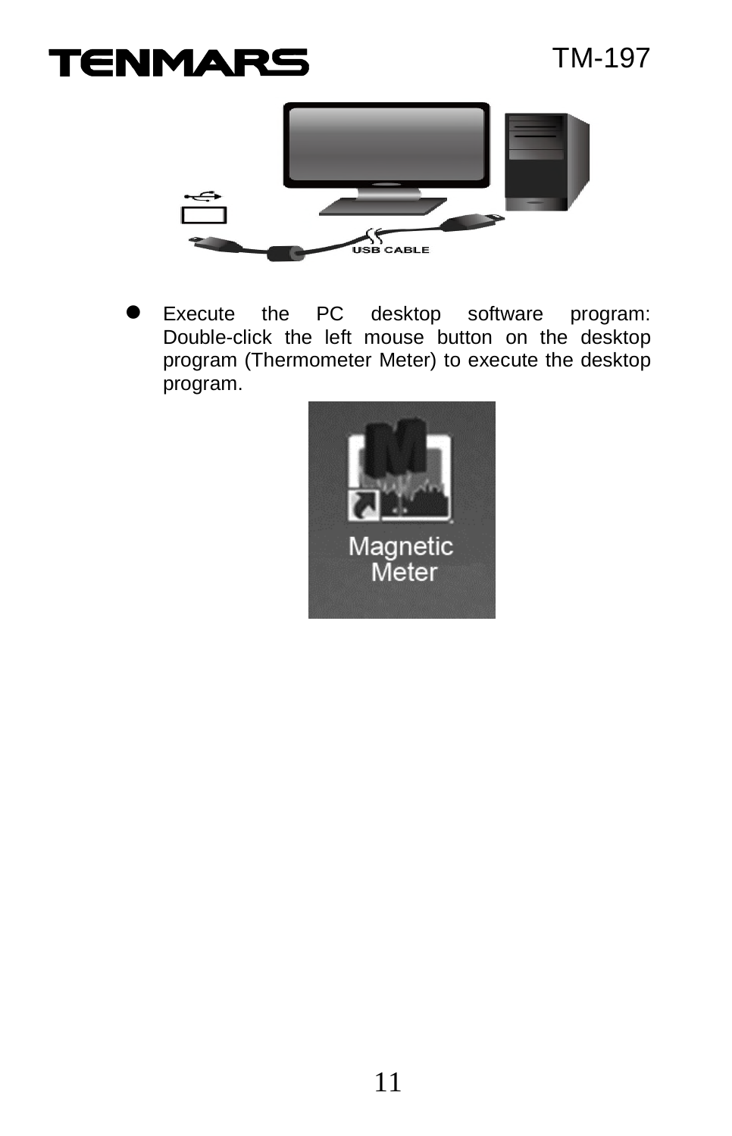# **TENMARS**



Execute the PC desktop software program: Double-click the left mouse button on the desktop program (Thermometer Meter) to execute the desktop program.

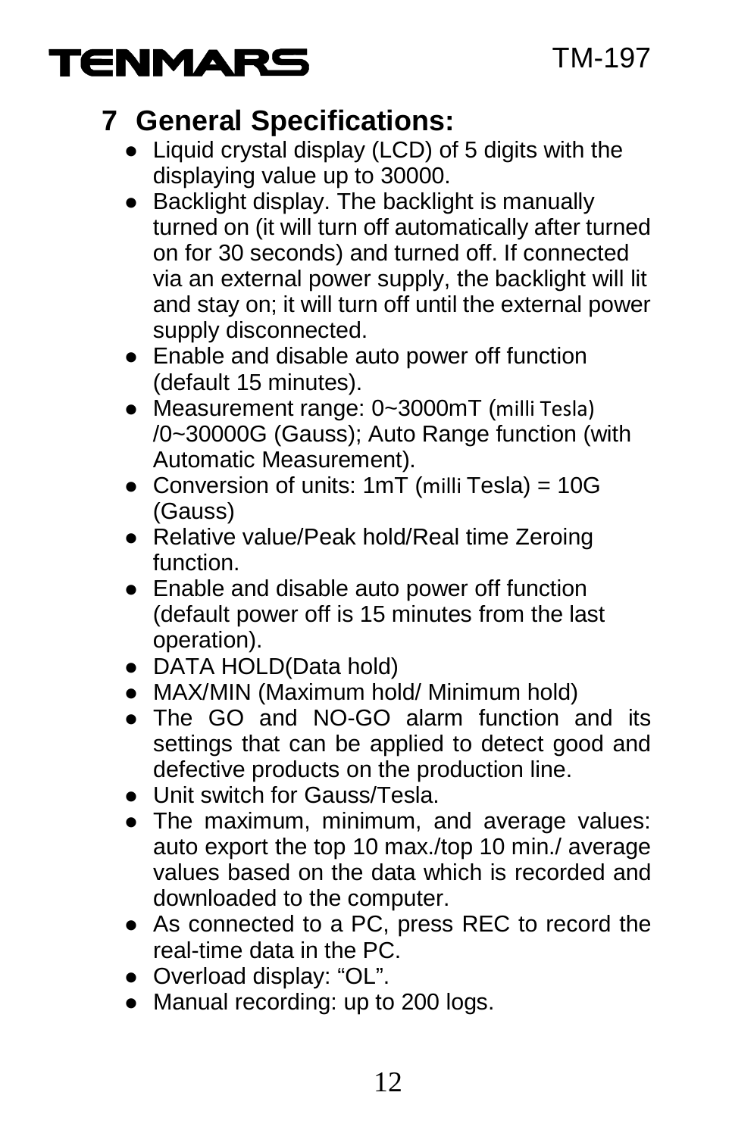

# **7 General Specifications:**

- Liquid crystal display (LCD) of 5 digits with the displaying value up to 30000.
- Backlight display. The backlight is manually turned on (it will turn off automatically after turned on for 30 seconds) and turned off. If connected via an external power supply, the backlight will lit and stay on; it will turn off until the external power supply disconnected.
- Enable and disable auto power off function (default 15 minutes).
- Measurement range: 0~3000mT (milli Tesla) /0~30000G (Gauss); Auto Range function (with Automatic Measurement).
- Conversion of units:  $1mT$  (milli Tesla) =  $10G$ (Gauss)
- Relative value/Peak hold/Real time Zeroing function.
- Enable and disable auto power off function (default power off is 15 minutes from the last operation).
- DATA HOLD(Data hold)
- MAX/MIN (Maximum hold/ Minimum hold)
- The GO and NO-GO alarm function and its settings that can be applied to detect good and defective products on the production line.
- Unit switch for Gauss/Tesla.
- The maximum, minimum, and average values: auto export the top 10 max./top 10 min./ average values based on the data which is recorded and downloaded to the computer.
- As connected to a PC, press REC to record the real-time data in the PC.
- Overload display: "OL".
- Manual recording: up to 200 logs.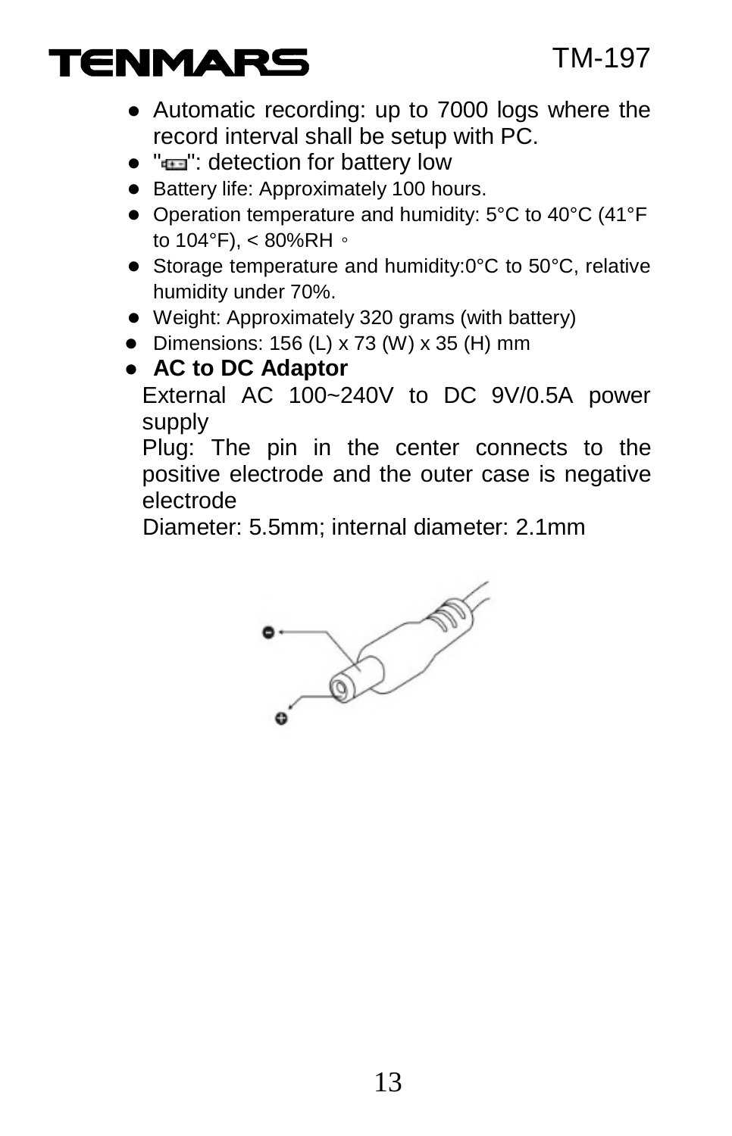# **TENMARS**

- Automatic recording: up to 7000 logs where the record interval shall be setup with PC.
- $\bullet$  " $\bullet$ ": detection for battery low
- Battery life: Approximately 100 hours.
- Operation temperature and humidity: 5°C to 40°C (41°F to  $104^\circ$ F), < 80%RH  $\circ$
- Storage temperature and humidity:0°C to 50°C, relative humidity under 70%.
- Weight: Approximately 320 grams (with battery)
- $\bullet$  Dimensions: 156 (L) x 73 (W) x 35 (H) mm
- **AC to DC Adaptor**

External AC 100~240V to DC 9V/0.5A power supply

Plug: The pin in the center connects to the positive electrode and the outer case is negative electrode

Diameter: 5.5mm; internal diameter: 2.1mm

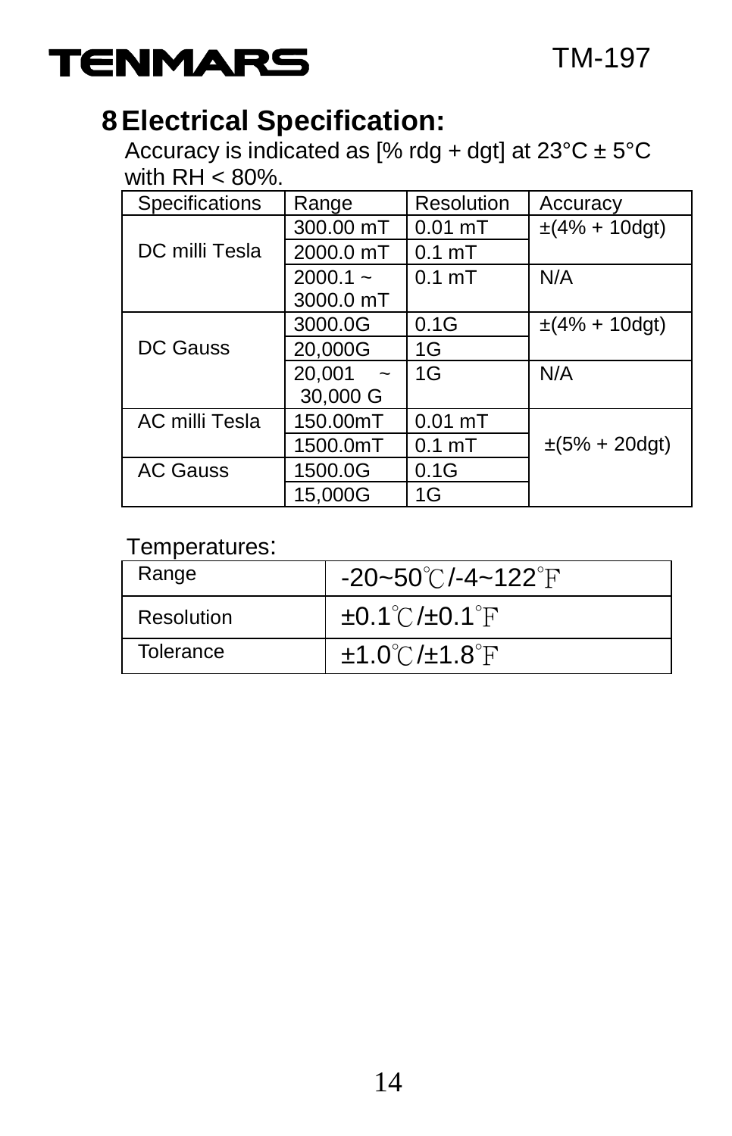

# **8 Electrical Specification:**

Accuracy is indicated as [% rdg + dgt] at  $23^{\circ}$ C ±  $5^{\circ}$ C with  $RH \leq 80\%$ .

| Specifications  | Range                        | Resolution        | Accuracy             |
|-----------------|------------------------------|-------------------|----------------------|
|                 | 300.00 mT                    | $0.01$ mT         | $\pm(4\% + 10$ dgt)  |
| DC milli Tesla  | 2000.0 mT                    | 0.1 <sub>mT</sub> |                      |
|                 | $2000.1 -$<br>3000.0 mT      | 0.1 <sub>mT</sub> | N/A                  |
|                 | 3000.0G                      | 0.1G              | $\pm(4\% + 10$ dgt)  |
| DC Gauss        | 20.000G                      | 1G                |                      |
|                 | 20,001<br>$\sim$<br>30,000 G | 1G                | N/A                  |
| AC milli Tesla  | 150.00mT                     | $0.01$ mT         |                      |
|                 | 1500.0mT                     | 0.1 <sub>mT</sub> | $\pm (5\% + 20$ dgt) |
| <b>AC Gauss</b> | 1500.0G                      | 0.1G              |                      |
|                 | 15.000G                      | 1G                |                      |

#### Temperatures:

| Range      | -20~50℃/-4~122°F                         |
|------------|------------------------------------------|
| Resolution | $\pm 0.1^{\circ}$ C/ $\pm 0.1^{\circ}$ F |
| Tolerance  | $\pm 1.0^{\circ}$ C/ $\pm 1.8^{\circ}$ F |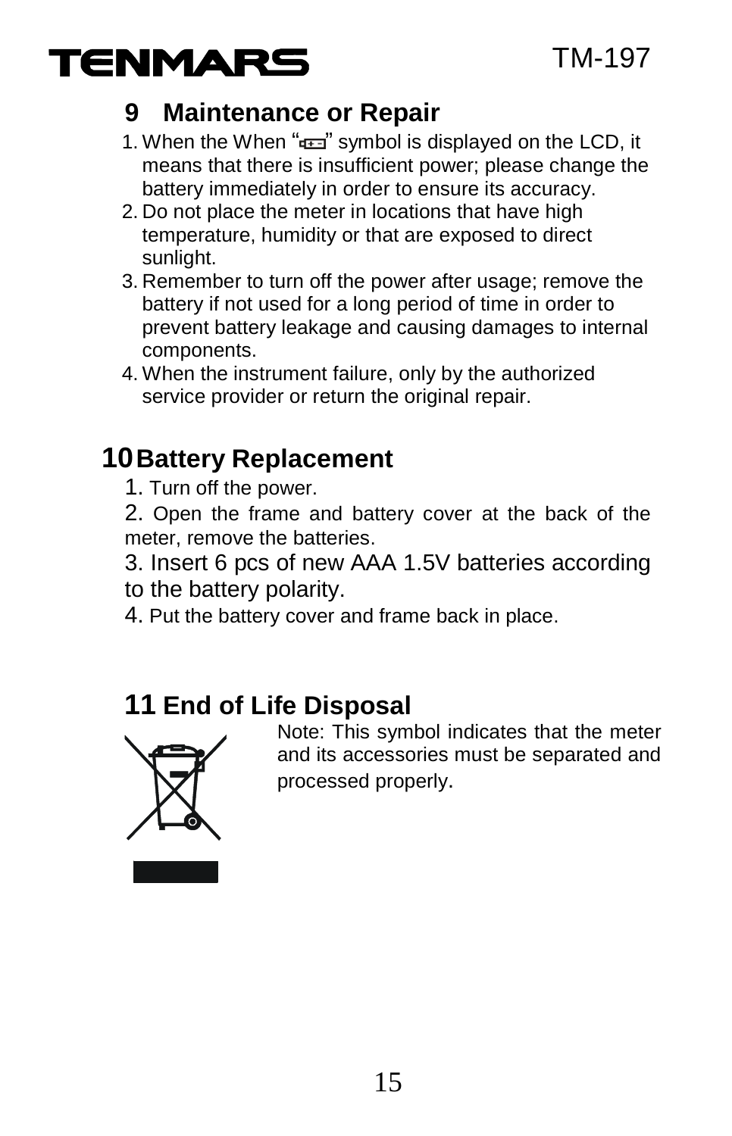

#### **9 Maintenance or Repair**

- 1. When the When " $\frac{1}{2}$ " symbol is displayed on the LCD, it means that there is insufficient power; please change the battery immediately in order to ensure its accuracy.
- 2. Do not place the meter in locations that have high temperature, humidity or that are exposed to direct sunlight.
- 3. Remember to turn off the power after usage; remove the battery if not used for a long period of time in order to prevent battery leakage and causing damages to internal components.
- 4. When the instrument failure, only by the authorized service provider or return the original repair.

#### **10Battery Replacement**

- 1. Turn off the power.
- 2. Open the frame and battery cover at the back of the meter, remove the batteries.
- 3. Insert 6 pcs of new AAA 1.5V batteries according to the battery polarity.
- 4. Put the battery cover and frame back in place.

#### **11 End of Life Disposal**



Note: This symbol indicates that the meter and its accessories must be separated and processed properly.